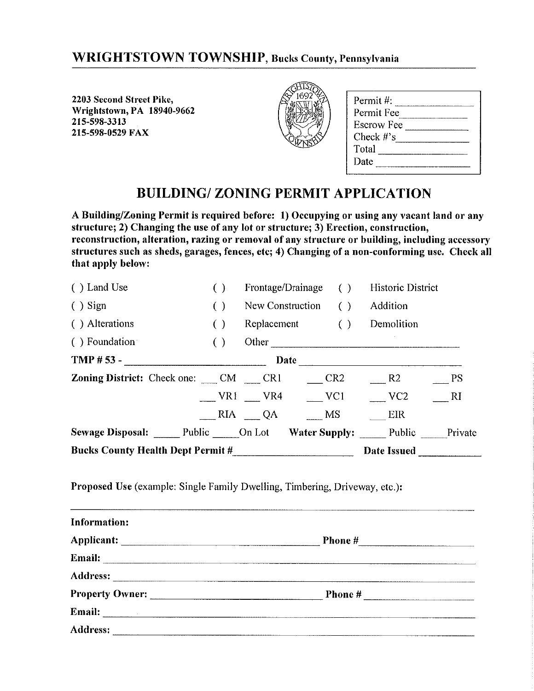## **WRIGHTSTOWN TOWNSHIP, Bucks County, Pennsylvania**

2203 Second Street Pike, Wrightstown, PA 18940-9662 215-598-3313 215-598-0529 FAX



| Permit #:         |  |
|-------------------|--|
| Permit Fee        |  |
| <b>Escrow Fee</b> |  |
| Check $#$ 's      |  |
| Total             |  |
| Date              |  |
|                   |  |

## **BUILDING/ZONING PERMIT APPLICATION**

A Building/Zoning Permit is required before: 1) Occupying or using any vacant land or any structure; 2) Changing the use of any lot or structure; 3) Erection, construction, reconstruction, alteration, razing or removal of any structure or building, including accessory structures such as sheds, garages, fences, etc; 4) Changing of a non-conforming use. Check all that apply below:

| () Land Use                                                 |                        |                     |                   | Frontage/Drainage () Historic District |           |
|-------------------------------------------------------------|------------------------|---------------------|-------------------|----------------------------------------|-----------|
| $( )$ Sign                                                  | $\left( \quad \right)$ | New Construction () |                   | Addition                               |           |
| () Alterations                                              | ( )                    |                     | Replacement ()    | Demolition                             |           |
| () Foundation                                               | ( )                    |                     |                   | Other                                  |           |
| TMP $# 53 -$ Date                                           |                        |                     |                   |                                        |           |
| <b>Zoning District:</b> Check one: CM _____ CR1 _______ CR2 |                        |                     |                   | R2                                     | - PS      |
|                                                             |                        |                     | $VRI$ $VRA$ $VCl$ | VC2                                    | <b>RI</b> |
|                                                             |                        |                     | $RIA$ QA MS       | <b>EIR</b>                             |           |
| Sewage Disposal: Public On Lot Water Supply: Public Private |                        |                     |                   |                                        |           |
| Bucks County Health Dept Permit #                           |                        |                     |                   | Date Issued _________                  |           |

Proposed Use (example: Single Family Dwelling, Timbering, Driveway, etc.):

| Information:                                                                                                                    |         |  |
|---------------------------------------------------------------------------------------------------------------------------------|---------|--|
|                                                                                                                                 | Phone # |  |
| Email:<br><u> 1980 - Andrea Andrew Amerikaanse kommunister († 1952), deur de foarme wurdt de foarmen wurdt de foarmen fan d</u> |         |  |
|                                                                                                                                 |         |  |
|                                                                                                                                 |         |  |
|                                                                                                                                 |         |  |
| Address:                                                                                                                        |         |  |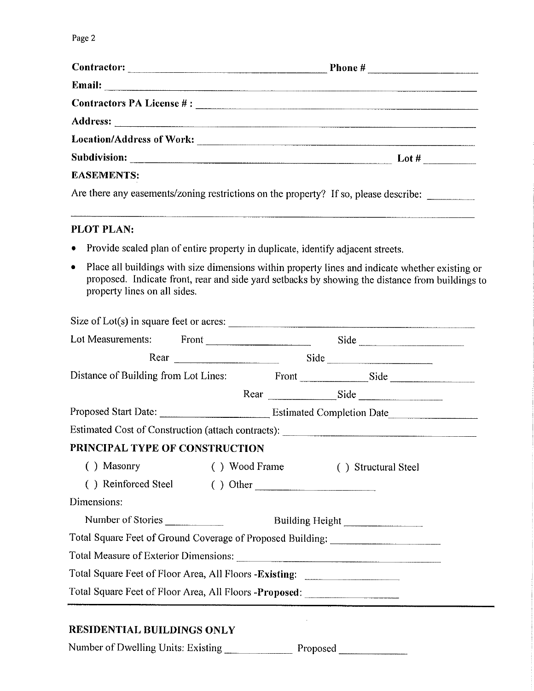| $\textbf{Contractor:}\n\qquad \qquad \qquad \textbf{Contractor:}\n\qquad \qquad \textbf{Contractor:}\n\qquad \qquad \textbf{Contractor:}\n\qquad \qquad \textbf{Strance:}\n\qquad \qquad \textbf{Corr} = \textbf{Corr} + \textbf{Corr} + \textbf{Corr} + \textbf{Corr} + \textbf{Corr} + \textbf{Corr} + \textbf{Corr} + \textbf{Corr} + \textbf{Corr} + \textbf{Corr} + \textbf{Corr} + \textbf{Corr} + \textbf{Corr} + \textbf{Corr} + \textbf{Corr} + \textbf{Corr} + \textbf{Corr$ |                                                                                      |
|----------------------------------------------------------------------------------------------------------------------------------------------------------------------------------------------------------------------------------------------------------------------------------------------------------------------------------------------------------------------------------------------------------------------------------------------------------------------------------------|--------------------------------------------------------------------------------------|
|                                                                                                                                                                                                                                                                                                                                                                                                                                                                                        |                                                                                      |
|                                                                                                                                                                                                                                                                                                                                                                                                                                                                                        |                                                                                      |
|                                                                                                                                                                                                                                                                                                                                                                                                                                                                                        |                                                                                      |
|                                                                                                                                                                                                                                                                                                                                                                                                                                                                                        |                                                                                      |
|                                                                                                                                                                                                                                                                                                                                                                                                                                                                                        |                                                                                      |
| <b>EASEMENTS:</b>                                                                                                                                                                                                                                                                                                                                                                                                                                                                      |                                                                                      |
|                                                                                                                                                                                                                                                                                                                                                                                                                                                                                        | Are there any easements/zoning restrictions on the property? If so, please describe: |

## PLOT PLAN:

- Provide scaled plan of entire property in duplicate, identify adjacent streets.  $\bullet$
- Place all buildings with size dimensions within property lines and indicate whether existing or  $\bullet$ proposed. Indicate front, rear and side yard setbacks by showing the distance from buildings to property lines on all sides.

|                                                                                  |                | Size of Lot(s) in square feet or acres: $\frac{1}{\sqrt{1-\frac{1}{2}}\sqrt{1-\frac{1}{2}}\sqrt{1-\frac{1}{2}}\sqrt{1-\frac{1}{2}}}}$ |  |
|----------------------------------------------------------------------------------|----------------|---------------------------------------------------------------------------------------------------------------------------------------|--|
|                                                                                  |                | Lot Measurements: Front Side Side                                                                                                     |  |
|                                                                                  | Rear Side Side |                                                                                                                                       |  |
|                                                                                  |                |                                                                                                                                       |  |
|                                                                                  |                | Rear Side                                                                                                                             |  |
|                                                                                  |                |                                                                                                                                       |  |
|                                                                                  |                | Estimated Cost of Construction (attach contracts): _____________________________                                                      |  |
| PRINCIPAL TYPE OF CONSTRUCTION                                                   |                |                                                                                                                                       |  |
|                                                                                  |                | () Masonry () Wood Frame () Structural Steel                                                                                          |  |
| () Reinforced Steel () Other                                                     |                |                                                                                                                                       |  |
| Dimensions:                                                                      |                |                                                                                                                                       |  |
|                                                                                  |                |                                                                                                                                       |  |
|                                                                                  |                | Total Square Feet of Ground Coverage of Proposed Building: _____________________                                                      |  |
|                                                                                  |                |                                                                                                                                       |  |
| Total Square Feet of Floor Area, All Floors - Existing: ________________________ |                |                                                                                                                                       |  |
|                                                                                  |                | Total Square Feet of Floor Area, All Floors -Proposed: _________________________                                                      |  |